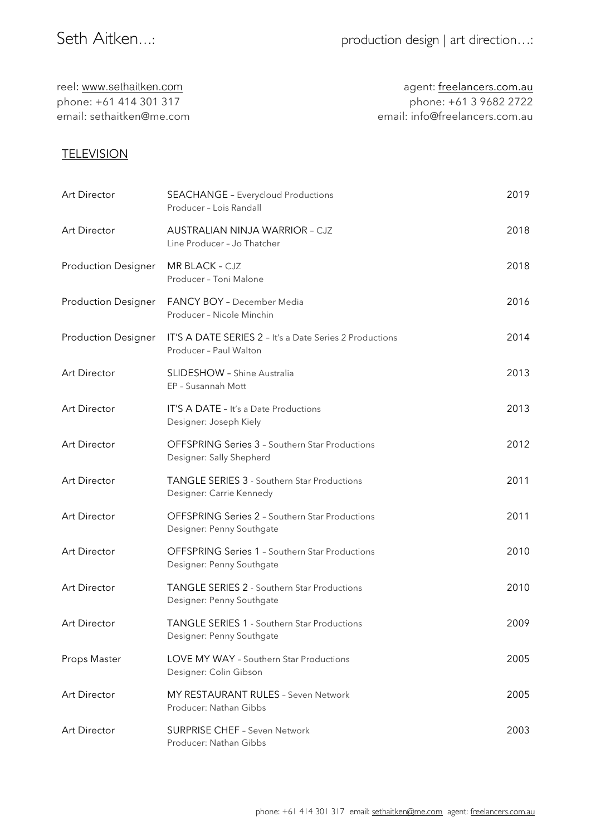| agent: freelancers.com.au      |
|--------------------------------|
| phone: +61 3 9682 2722         |
| email: info@freelancers.com.au |
|                                |

## **TELEVISION**

| Art Director               | <b>SEACHANGE - Everycloud Productions</b><br>Producer - Lois Randall               | 2019 |
|----------------------------|------------------------------------------------------------------------------------|------|
| Art Director               | <b>AUSTRALIAN NINJA WARRIOR - CJZ</b><br>Line Producer - Jo Thatcher               | 2018 |
| <b>Production Designer</b> | MR BLACK - CJZ<br>Producer - Toni Malone                                           | 2018 |
| <b>Production Designer</b> | <b>FANCY BOY - December Media</b><br>Producer - Nicole Minchin                     | 2016 |
| <b>Production Designer</b> | IT'S A DATE SERIES 2 - It's a Date Series 2 Productions<br>Producer - Paul Walton  | 2014 |
| Art Director               | <b>SLIDESHOW</b> - Shine Australia<br>EP - Susannah Mott                           | 2013 |
| Art Director               | IT'S A DATE - It's a Date Productions<br>Designer: Joseph Kiely                    | 2013 |
| <b>Art Director</b>        | <b>OFFSPRING Series 3 - Southern Star Productions</b><br>Designer: Sally Shepherd  | 2012 |
| Art Director               | <b>TANGLE SERIES 3 - Southern Star Productions</b><br>Designer: Carrie Kennedy     | 2011 |
| Art Director               | <b>OFFSPRING Series 2 - Southern Star Productions</b><br>Designer: Penny Southgate | 2011 |
| Art Director               | <b>OFFSPRING Series 1 - Southern Star Productions</b><br>Designer: Penny Southgate | 2010 |
| Art Director               | <b>TANGLE SERIES 2 - Southern Star Productions</b><br>Designer: Penny Southgate    | 2010 |
| Art Director               | TANGLE SERIES 1 - Southern Star Productions<br>Designer: Penny Southgate           | 2009 |
| Props Master               | LOVE MY WAY - Southern Star Productions<br>Designer: Colin Gibson                  | 2005 |
| Art Director               | MY RESTAURANT RULES - Seven Network<br>Producer: Nathan Gibbs                      | 2005 |
| Art Director               | <b>SURPRISE CHEF - Seven Network</b><br>Producer: Nathan Gibbs                     | 2003 |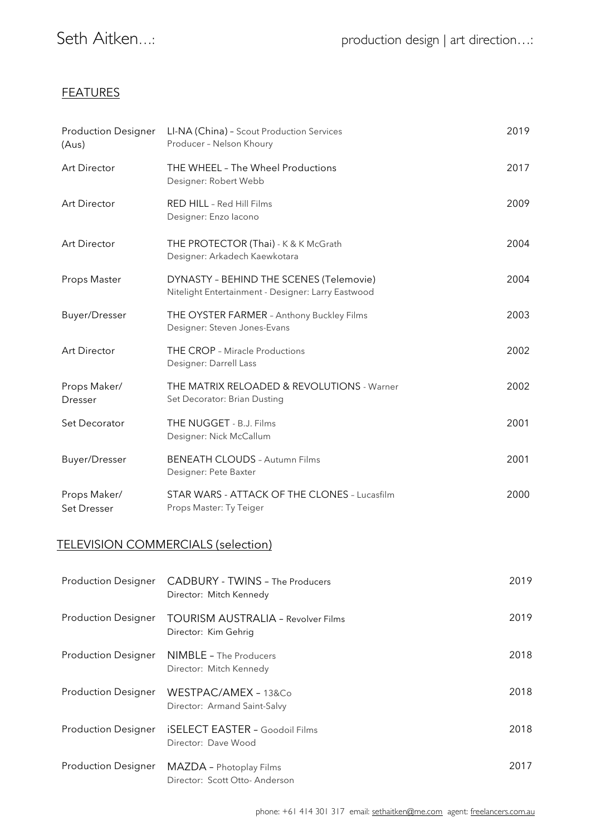### **FEATURES**

| <b>Production Designer</b><br>(Aus) | LI-NA (China) - Scout Production Services<br>Producer - Nelson Khoury                         | 2019 |
|-------------------------------------|-----------------------------------------------------------------------------------------------|------|
| Art Director                        | THE WHEEL - The Wheel Productions<br>Designer: Robert Webb                                    | 2017 |
| Art Director                        | RED HILL - Red Hill Films<br>Designer: Enzo lacono                                            | 2009 |
| Art Director                        | THE PROTECTOR (Thai) - K & K McGrath<br>Designer: Arkadech Kaewkotara                         | 2004 |
| Props Master                        | DYNASTY - BEHIND THE SCENES (Telemovie)<br>Nitelight Entertainment - Designer: Larry Eastwood | 2004 |
| <b>Buyer/Dresser</b>                | THE OYSTER FARMER - Anthony Buckley Films<br>Designer: Steven Jones-Evans                     | 2003 |
| <b>Art Director</b>                 | THE CROP - Miracle Productions<br>Designer: Darrell Lass                                      | 2002 |
| Props Maker/<br>Dresser             | THE MATRIX RELOADED & REVOLUTIONS - Warner<br>Set Decorator: Brian Dusting                    | 2002 |
| Set Decorator                       | THE NUGGET - B.J. Films<br>Designer: Nick McCallum                                            | 2001 |
| <b>Buyer/Dresser</b>                | <b>BENEATH CLOUDS - Autumn Films</b><br>Designer: Pete Baxter                                 | 2001 |
| Props Maker/<br>Set Dresser         | STAR WARS - ATTACK OF THE CLONES - Lucasfilm<br>Props Master: Ty Teiger                       | 2000 |
|                                     | TELEVISION COMMERCIALS (selection)                                                            |      |
| <b>Production Designer</b>          | <b>CADBURY - TWINS - The Producers</b><br>Director: Mitch Kennedy                             | 2019 |

| <b>Production Designer</b> | <b>TOURISM AUSTRALIA - Revolver Films</b><br>Director: Kim Gehrig | 2019 |
|----------------------------|-------------------------------------------------------------------|------|
| <b>Production Designer</b> | <b>NIMBLE</b> - The Producers<br>Director: Mitch Kennedy          | 2018 |
| <b>Production Designer</b> | WESTPAC/AMEX - 13&Co<br>Director: Armand Saint-Salvy              | 2018 |
| <b>Production Designer</b> | <b>iSELECT EASTER - Goodoil Films</b><br>Director: Dave Wood      | 2018 |
| <b>Production Designer</b> | MAZDA - Photoplay Films<br>Director: Scott Otto-Anderson          | 2017 |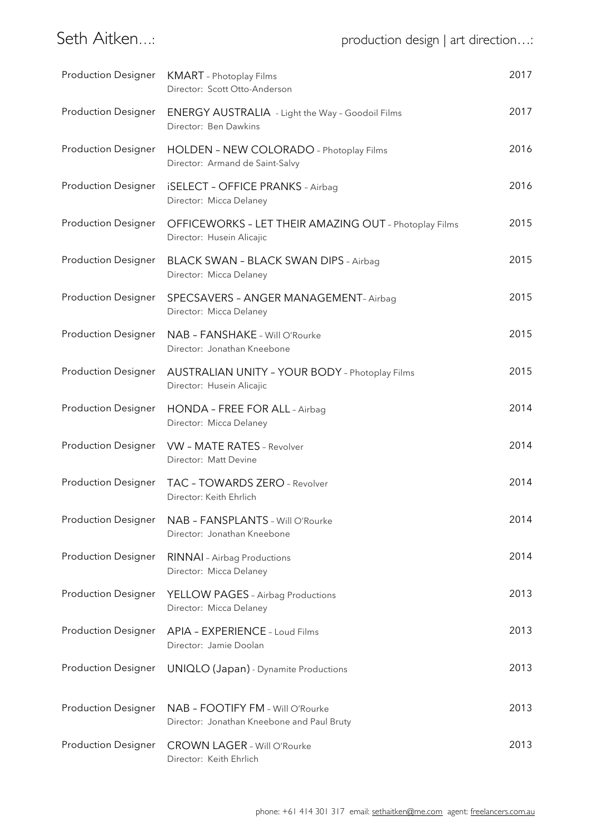| <b>Production Designer</b> | <b>KMART</b> - Photoplay Films<br>Director: Scott Otto-Anderson                    | 2017 |
|----------------------------|------------------------------------------------------------------------------------|------|
| <b>Production Designer</b> | <b>ENERGY AUSTRALIA</b> - Light the Way - Goodoil Films<br>Director: Ben Dawkins   | 2017 |
| <b>Production Designer</b> | HOLDEN - NEW COLORADO - Photoplay Films<br>Director: Armand de Saint-Salvy         | 2016 |
| <b>Production Designer</b> | <b>iSELECT - OFFICE PRANKS - Airbag</b><br>Director: Micca Delaney                 | 2016 |
| <b>Production Designer</b> | OFFICEWORKS - LET THEIR AMAZING OUT - Photoplay Films<br>Director: Husein Alicajic | 2015 |
| <b>Production Designer</b> | <b>BLACK SWAN - BLACK SWAN DIPS - Airbag</b><br>Director: Micca Delaney            | 2015 |
| <b>Production Designer</b> | SPECSAVERS - ANGER MANAGEMENT- Airbag<br>Director: Micca Delaney                   | 2015 |
| <b>Production Designer</b> | NAB - FANSHAKE - Will O'Rourke<br>Director: Jonathan Kneebone                      | 2015 |
| <b>Production Designer</b> | <b>AUSTRALIAN UNITY - YOUR BODY - Photoplay Films</b><br>Director: Husein Alicajic | 2015 |
| <b>Production Designer</b> | HONDA - FREE FOR ALL - Airbag<br>Director: Micca Delaney                           | 2014 |
|                            | Production Designer VW - MATE RATES - Revolver<br>Director: Matt Devine            | 2014 |
|                            | Production Designer  TAC - TOWARDS ZERO - Revolver<br>Director: Keith Ehrlich      | 2014 |
| <b>Production Designer</b> | NAB - FANSPLANTS - Will O'Rourke<br>Director: Jonathan Kneebone                    | 2014 |
| <b>Production Designer</b> | <b>RINNAI</b> - Airbag Productions<br>Director: Micca Delaney                      | 2014 |
| <b>Production Designer</b> | YELLOW PAGES - Airbag Productions<br>Director: Micca Delaney                       | 2013 |
| <b>Production Designer</b> | APIA - EXPERIENCE - Loud Films<br>Director: Jamie Doolan                           | 2013 |
| <b>Production Designer</b> | UNIQLO (Japan) - Dynamite Productions                                              | 2013 |
| <b>Production Designer</b> | NAB - FOOTIFY FM - Will O'Rourke<br>Director: Jonathan Kneebone and Paul Bruty     | 2013 |
| <b>Production Designer</b> | <b>CROWN LAGER - Will O'Rourke</b><br>Director: Keith Ehrlich                      | 2013 |